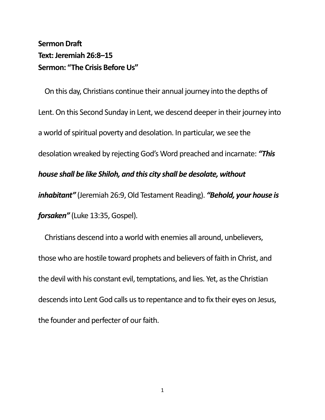## **Sermon Draft Text:Jeremiah 26:8–15 Sermon: "The Crisis Before Us"**

On this day, Christians continue their annual journey into the depths of Lent. On this Second Sunday in Lent, we descend deeper in their journey into a world of spiritual poverty and desolation. In particular, we see the desolation wreaked by rejecting God's Word preached and incarnate: *"This house shall be like Shiloh, and this city shall be desolate, without inhabitant"* (Jeremiah 26:9, Old Testament Reading). *"Behold, your house is forsaken"* (Luke 13:35, Gospel).

Christians descend into a world with enemies all around, unbelievers, those who are hostile toward prophets and believers of faith in Christ, and the devil with his constant evil, temptations, and lies. Yet, as the Christian descends into Lent God calls us to repentance and to fix their eyes on Jesus, the founder and perfecter of our faith.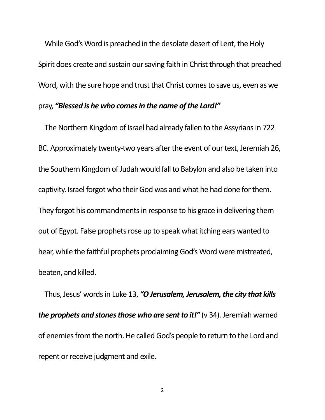While God's Word is preached in the desolate desert of Lent, the Holy Spirit does create and sustain our saving faith in Christ through that preached Word, with the sure hope and trust that Christ comes to save us, even as we pray, *"Blessed is he who comesin the name of the Lord!"*

The Northern Kingdom of Israel had already fallen to the Assyrians in 722 BC. Approximately twenty-two years after the event of our text, Jeremiah 26, the Southern Kingdom of Judah would fall to Babylon and also be taken into captivity. Israel forgot who their God was and what he had done for them. They forgot his commandments in response to his grace in delivering them out of Egypt. False prophets rose up to speak what itching ears wanted to hear, while the faithful prophets proclaiming God's Word were mistreated, beaten, and killed.

Thus, Jesus' words in Luke 13, *"O Jerusalem, Jerusalem, the city that kills the prophets and stones those who are sent to it!"* (v 34). Jeremiah warned of enemies from the north. He called God's people to return to the Lord and repent or receive judgment and exile.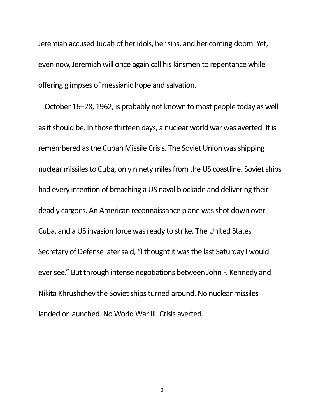Jeremiah accused Judah of her idols, her sins, and her coming doom. Yet, even now, Jeremiah will once again call his kinsmen to repentance while offering glimpses of messianic hope and salvation.

October 16–28, 1962, is probably not known to most people today as well as it should be. In those thirteen days, a nuclear world war was averted. It is remembered as the Cuban Missile Crisis. The Soviet Union was shipping nuclear missiles to Cuba, only ninety miles from the US coastline. Soviet ships had every intention of breaching a US naval blockade and delivering their deadly cargoes. An American reconnaissance plane was shot down over Cuba, and a US invasion force was ready to strike. The United States Secretary of Defense later said, "I thought it was the last Saturday I would ever see." But through intense negotiations between John F. Kennedy and Nikita Khrushchev the Soviet ships turned around. No nuclear missiles landed or launched. No World War III. Crisis averted.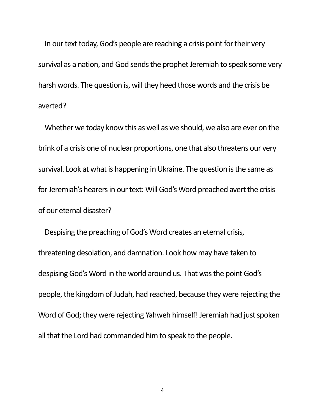In our text today, God's people are reaching a crisis point for their very survival as a nation, and God sends the prophet Jeremiah to speak some very harsh words. The question is, will they heed those words and the crisis be averted?

Whether we today know this as well as we should, we also are ever on the brink of a crisis one of nuclear proportions, one that also threatens our very survival. Look at what is happening in Ukraine. The question is the same as for Jeremiah's hearers in our text: Will God's Word preached avert the crisis of our eternal disaster?

Despising the preaching of God's Word creates an eternal crisis, threatening desolation, and damnation. Look how may have taken to despising God's Word in the world around us. That was the point God's people, the kingdom of Judah, had reached, because they were rejecting the Word of God; they were rejecting Yahweh himself! Jeremiah had just spoken all that the Lord had commanded him to speak to the people.

4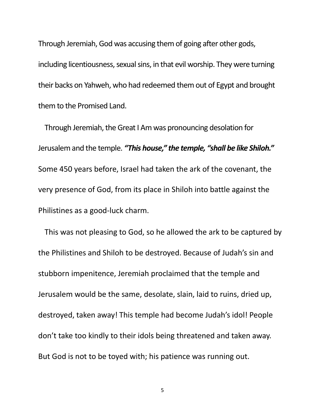Through Jeremiah, God was accusing them of going after other gods, including licentiousness, sexual sins, in that evil worship. They were turning their backs on Yahweh, who had redeemed them out of Egypt and brought them to the Promised Land.

Through Jeremiah, the Great I Am was pronouncing desolation for Jerusalem and the temple. *"This house," the temple, "shall be like Shiloh."* Some 450 years before, Israel had taken the ark of the covenant, the very presence of God, from its place in Shiloh into battle against the Philistines as a good-luck charm.

This was not pleasing to God, so he allowed the ark to be captured by the Philistines and Shiloh to be destroyed. Because of Judah's sin and stubborn impenitence, Jeremiah proclaimed that the temple and Jerusalem would be the same, desolate, slain, laid to ruins, dried up, destroyed, taken away! This temple had become Judah's idol! People don't take too kindly to their idols being threatened and taken away. But God is not to be toyed with; his patience was running out.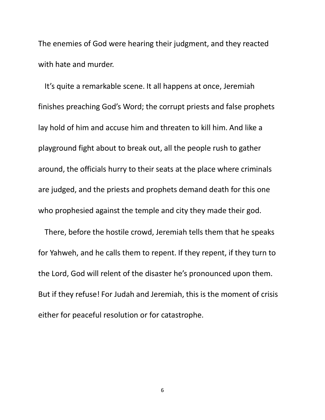The enemies of God were hearing their judgment, and they reacted with hate and murder.

It's quite a remarkable scene. It all happens at once, Jeremiah finishes preaching God's Word; the corrupt priests and false prophets lay hold of him and accuse him and threaten to kill him. And like a playground fight about to break out, all the people rush to gather around, the officials hurry to their seats at the place where criminals are judged, and the priests and prophets demand death for this one who prophesied against the temple and city they made their god.

There, before the hostile crowd, Jeremiah tells them that he speaks for Yahweh, and he calls them to repent. If they repent, if they turn to the Lord, God will relent of the disaster he's pronounced upon them. But if they refuse! For Judah and Jeremiah, this is the moment of crisis either for peaceful resolution or for catastrophe.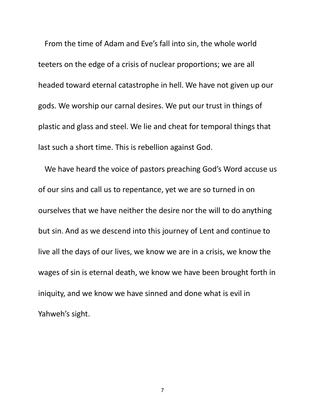From the time of Adam and Eve's fall into sin, the whole world teeters on the edge of a crisis of nuclear proportions; we are all headed toward eternal catastrophe in hell. We have not given up our gods. We worship our carnal desires. We put our trust in things of plastic and glass and steel. We lie and cheat for temporal things that last such a short time. This is rebellion against God.

We have heard the voice of pastors preaching God's Word accuse us of our sins and call us to repentance, yet we are so turned in on ourselves that we have neither the desire nor the will to do anything but sin. And as we descend into this journey of Lent and continue to live all the days of our lives, we know we are in a crisis, we know the wages of sin is eternal death, we know we have been brought forth in iniquity, and we know we have sinned and done what is evil in Yahweh's sight.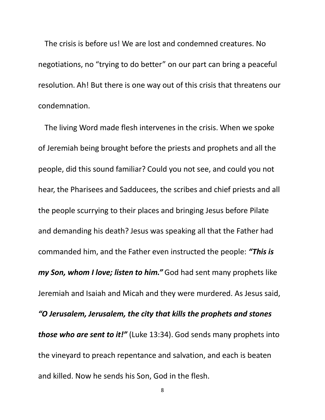The crisis is before us! We are lost and condemned creatures. No negotiations, no "trying to do better" on our part can bring a peaceful resolution. Ah! But there is one way out of this crisis that threatens our condemnation.

The living Word made flesh intervenes in the crisis. When we spoke of Jeremiah being brought before the priests and prophets and all the people, did this sound familiar? Could you not see, and could you not hear, the Pharisees and Sadducees, the scribes and chief priests and all the people scurrying to their places and bringing Jesus before Pilate and demanding his death? Jesus was speaking all that the Father had commanded him, and the Father even instructed the people: *"This is my Son, whom I love; listen to him."* God had sent many prophets like Jeremiah and Isaiah and Micah and they were murdered. As Jesus said, *"O Jerusalem, Jerusalem, the city that kills the prophets and stones those who are sent to it!"* (Luke 13:34). God sends many prophets into the vineyard to preach repentance and salvation, and each is beaten and killed. Now he sends his Son, God in the flesh.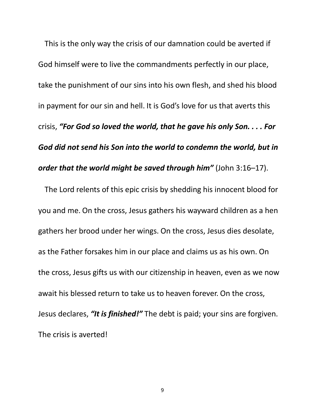This is the only way the crisis of our damnation could be averted if God himself were to live the commandments perfectly in our place, take the punishment of our sins into his own flesh, and shed his blood in payment for our sin and hell. It is God's love for us that averts this crisis, *"For God so loved the world, that he gave his only Son. . . . For God did not send his Son into the world to condemn the world, but in order that the world might be saved through him"* (John 3:16–17).

The Lord relents of this epic crisis by shedding his innocent blood for you and me. On the cross, Jesus gathers his wayward children as a hen gathers her brood under her wings. On the cross, Jesus dies desolate, as the Father forsakes him in our place and claims us as his own. On the cross, Jesus gifts us with our citizenship in heaven, even as we now await his blessed return to take us to heaven forever. On the cross, Jesus declares, *"It is finished!"* The debt is paid; your sins are forgiven. The crisis is averted!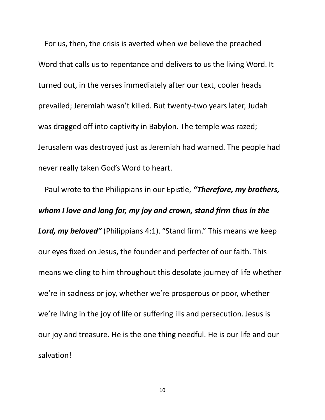For us, then, the crisis is averted when we believe the preached Word that calls us to repentance and delivers to us the living Word. It turned out, in the verses immediately after our text, cooler heads prevailed; Jeremiah wasn't killed. But twenty-two years later, Judah was dragged off into captivity in Babylon. The temple was razed; Jerusalem was destroyed just as Jeremiah had warned. The people had never really taken God's Word to heart.

Paul wrote to the Philippians in our Epistle, *"Therefore, my brothers, whom I love and long for, my joy and crown, stand firm thus in the Lord, my beloved"* (Philippians 4:1). "Stand firm." This means we keep our eyes fixed on Jesus, the founder and perfecter of our faith. This means we cling to him throughout this desolate journey of life whether we're in sadness or joy, whether we're prosperous or poor, whether we're living in the joy of life or suffering ills and persecution. Jesus is our joy and treasure. He is the one thing needful. He is our life and our salvation!